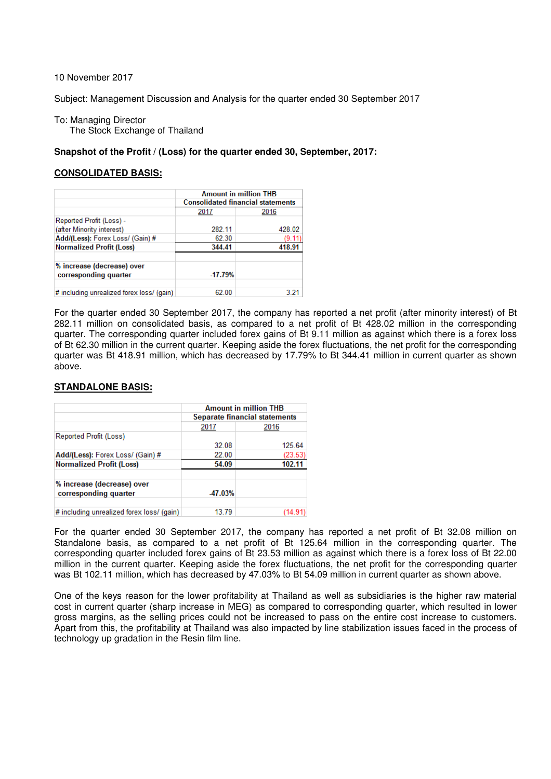10 November 2017

Subject: Management Discussion and Analysis for the quarter ended 30 September 2017

To: Managing Director The Stock Exchange of Thailand

## **Snapshot of the Profit / (Loss) for the quarter ended 30, September, 2017:**

## **CONSOLIDATED BASIS:**

|                                                     | <b>Amount in million THB</b><br><b>Consolidated financial statements</b> |        |  |  |
|-----------------------------------------------------|--------------------------------------------------------------------------|--------|--|--|
|                                                     | 2017                                                                     | 2016   |  |  |
| Reported Profit (Loss) -                            |                                                                          |        |  |  |
| (after Minority interest)                           | 282.11                                                                   | 428.02 |  |  |
| Add/(Less): Forex Loss/ (Gain) #                    | 62.30                                                                    | (9.11  |  |  |
| <b>Normalized Profit (Loss)</b>                     | 344.41                                                                   | 418.91 |  |  |
| % increase (decrease) over<br>corresponding quarter | $-17.79%$                                                                |        |  |  |
| # including unrealized forex loss/ (gain)           | 62.00                                                                    | 3 21   |  |  |

For the quarter ended 30 September 2017, the company has reported a net profit (after minority interest) of Bt 282.11 million on consolidated basis, as compared to a net profit of Bt 428.02 million in the corresponding quarter. The corresponding quarter included forex gains of Bt 9.11 million as against which there is a forex loss of Bt 62.30 million in the current quarter. Keeping aside the forex fluctuations, the net profit for the corresponding quarter was Bt 418.91 million, which has decreased by 17.79% to Bt 344.41 million in current quarter as shown above.

## **STANDALONE BASIS:**

|                                                     | <b>Amount in million THB</b><br>Separate financial statements |         |  |  |
|-----------------------------------------------------|---------------------------------------------------------------|---------|--|--|
|                                                     | 2017                                                          | 2016    |  |  |
| Reported Profit (Loss)                              |                                                               |         |  |  |
|                                                     | 32.08                                                         | 125.64  |  |  |
| Add/(Less): Forex Loss/ (Gain) #                    | 22.00                                                         | (23.53) |  |  |
| <b>Normalized Profit (Loss)</b>                     | 54.09                                                         | 102.11  |  |  |
| % increase (decrease) over<br>corresponding quarter | -47.03%                                                       |         |  |  |
| # including unrealized forex loss/ (gain)           | 13.79                                                         | (14.91) |  |  |

For the quarter ended 30 September 2017, the company has reported a net profit of Bt 32.08 million on Standalone basis, as compared to a net profit of Bt 125.64 million in the corresponding quarter. The corresponding quarter included forex gains of Bt 23.53 million as against which there is a forex loss of Bt 22.00 million in the current quarter. Keeping aside the forex fluctuations, the net profit for the corresponding quarter was Bt 102.11 million, which has decreased by 47.03% to Bt 54.09 million in current quarter as shown above.

One of the keys reason for the lower profitability at Thailand as well as subsidiaries is the higher raw material cost in current quarter (sharp increase in MEG) as compared to corresponding quarter, which resulted in lower gross margins, as the selling prices could not be increased to pass on the entire cost increase to customers. Apart from this, the profitability at Thailand was also impacted by line stabilization issues faced in the process of technology up gradation in the Resin film line.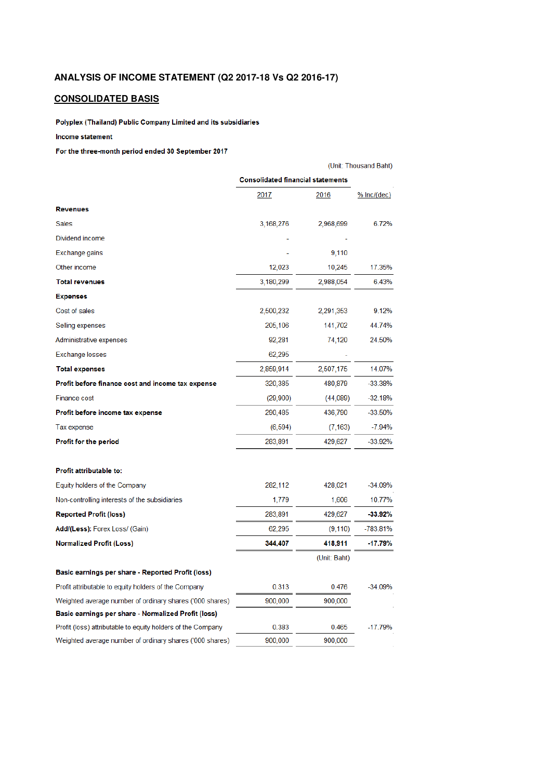# **ANALYSIS OF INCOME STATEMENT (Q2 2017-18 Vs Q2 2016-17)**

# **CONSOLIDATED BASIS**

Polyplex (Thailand) Public Company Limited and its subsidiaries

## Income statement

#### For the three-month period ended 30 September 2017

|                                                             | (Unit: Thousand Baht)                    |              |               |  |  |
|-------------------------------------------------------------|------------------------------------------|--------------|---------------|--|--|
|                                                             | <b>Consolidated financial statements</b> |              |               |  |  |
|                                                             | 2017                                     | 2016         | $%$ lnc/(dec) |  |  |
| <b>Revenues</b>                                             |                                          |              |               |  |  |
| <b>Sales</b>                                                | 3,168,276                                | 2,968,699    | 6.72%         |  |  |
| Dividend income                                             |                                          |              |               |  |  |
| Exchange gains                                              |                                          | 9,110        |               |  |  |
| Other income                                                | 12,023                                   | 10,245       | 17.35%        |  |  |
| <b>Total revenues</b>                                       | 3,180,299                                | 2,988,054    | 6.43%         |  |  |
| <b>Expenses</b>                                             |                                          |              |               |  |  |
| Cost of sales                                               | 2,500,232                                | 2,291,353    | 9.12%         |  |  |
| Selling expenses                                            | 205,106                                  | 141,702      | 44.74%        |  |  |
| Administrative expenses                                     | 92,281                                   | 74,120       | 24.50%        |  |  |
| Exchange losses                                             | 62,295                                   |              |               |  |  |
| <b>Total expenses</b>                                       | 2,859,914                                | 2,507,175    | 14.07%        |  |  |
| Profit before finance cost and income tax expense           | 320,385                                  | 480,879      | -33.38%       |  |  |
| Finance cost                                                | (29,900)                                 | (44,089)     | $-32.18%$     |  |  |
| Profit before income tax expense                            | 290,485                                  | 436,790      | $-33.50%$     |  |  |
| Tax expense                                                 | (6, 594)                                 | (7, 163)     | $-7.94%$      |  |  |
| <b>Profit for the period</b>                                | 283,891                                  | 429,627      | -33.92%       |  |  |
| Profit attributable to:                                     |                                          |              |               |  |  |
| Equity holders of the Company                               | 282,112                                  | 428,021      | $-34.09%$     |  |  |
| Non-controlling interests of the subsidiaries               | 1,779                                    | 1,606        | 10.77%        |  |  |
| <b>Reported Profit (loss)</b>                               | 283,891                                  | 429,627      | $-33.92\%$    |  |  |
| Add/(Less): Forex Loss/ (Gain)                              | 62,295                                   | (9, 110)     | -783.81%      |  |  |
| <b>Normalized Profit (Loss)</b>                             | 344,407                                  | 418,911      | $-17.79%$     |  |  |
|                                                             |                                          | (Unit: Baht) |               |  |  |
| Basic earnings per share - Reported Profit (loss)           |                                          |              |               |  |  |
| Profit attributable to equity holders of the Company        | 0.313                                    | 0.476        | $-34.09%$     |  |  |
| Weighted average number of ordinary shares ('000 shares)    | 900,000                                  | 900,000      |               |  |  |
| Basic earnings per share - Normalized Profit (loss)         |                                          |              |               |  |  |
| Profit (loss) attributable to equity holders of the Company | 0.383                                    | 0.465        | $-17.79%$     |  |  |
| Weighted average number of ordinary shares ('000 shares)    | 900,000                                  | 900,000      |               |  |  |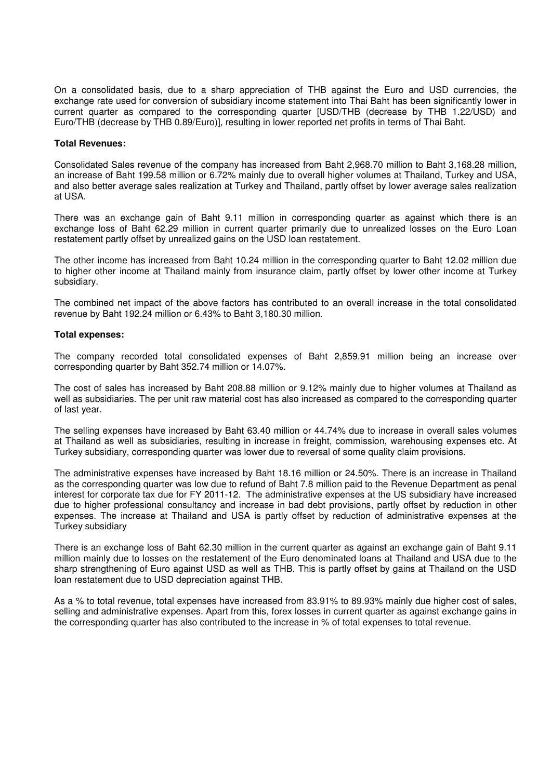On a consolidated basis, due to a sharp appreciation of THB against the Euro and USD currencies, the exchange rate used for conversion of subsidiary income statement into Thai Baht has been significantly lower in current quarter as compared to the corresponding quarter [USD/THB (decrease by THB 1.22/USD) and Euro/THB (decrease by THB 0.89/Euro)], resulting in lower reported net profits in terms of Thai Baht.

### **Total Revenues:**

Consolidated Sales revenue of the company has increased from Baht 2,968.70 million to Baht 3,168.28 million, an increase of Baht 199.58 million or 6.72% mainly due to overall higher volumes at Thailand, Turkey and USA, and also better average sales realization at Turkey and Thailand, partly offset by lower average sales realization at USA.

There was an exchange gain of Baht 9.11 million in corresponding quarter as against which there is an exchange loss of Baht 62.29 million in current quarter primarily due to unrealized losses on the Euro Loan restatement partly offset by unrealized gains on the USD loan restatement.

The other income has increased from Baht 10.24 million in the corresponding quarter to Baht 12.02 million due to higher other income at Thailand mainly from insurance claim, partly offset by lower other income at Turkey subsidiary.

The combined net impact of the above factors has contributed to an overall increase in the total consolidated revenue by Baht 192.24 million or 6.43% to Baht 3,180.30 million.

### **Total expenses:**

The company recorded total consolidated expenses of Baht 2,859.91 million being an increase over corresponding quarter by Baht 352.74 million or 14.07%.

The cost of sales has increased by Baht 208.88 million or 9.12% mainly due to higher volumes at Thailand as well as subsidiaries. The per unit raw material cost has also increased as compared to the corresponding quarter of last year.

The selling expenses have increased by Baht 63.40 million or 44.74% due to increase in overall sales volumes at Thailand as well as subsidiaries, resulting in increase in freight, commission, warehousing expenses etc. At Turkey subsidiary, corresponding quarter was lower due to reversal of some quality claim provisions.

The administrative expenses have increased by Baht 18.16 million or 24.50%. There is an increase in Thailand as the corresponding quarter was low due to refund of Baht 7.8 million paid to the Revenue Department as penal interest for corporate tax due for FY 2011-12. The administrative expenses at the US subsidiary have increased due to higher professional consultancy and increase in bad debt provisions, partly offset by reduction in other expenses. The increase at Thailand and USA is partly offset by reduction of administrative expenses at the Turkey subsidiary

There is an exchange loss of Baht 62.30 million in the current quarter as against an exchange gain of Baht 9.11 million mainly due to losses on the restatement of the Euro denominated loans at Thailand and USA due to the sharp strengthening of Euro against USD as well as THB. This is partly offset by gains at Thailand on the USD loan restatement due to USD depreciation against THB.

As a % to total revenue, total expenses have increased from 83.91% to 89.93% mainly due higher cost of sales, selling and administrative expenses. Apart from this, forex losses in current quarter as against exchange gains in the corresponding quarter has also contributed to the increase in % of total expenses to total revenue.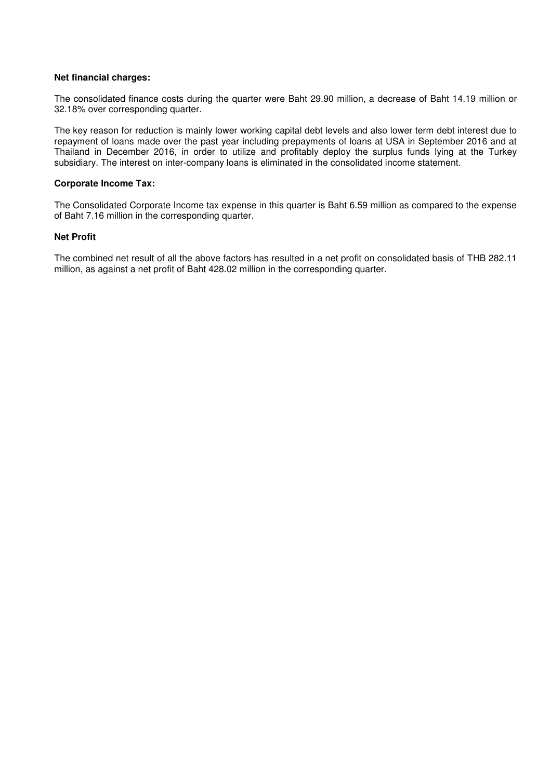## **Net financial charges:**

The consolidated finance costs during the quarter were Baht 29.90 million, a decrease of Baht 14.19 million or 32.18% over corresponding quarter.

The key reason for reduction is mainly lower working capital debt levels and also lower term debt interest due to repayment of loans made over the past year including prepayments of loans at USA in September 2016 and at Thailand in December 2016, in order to utilize and profitably deploy the surplus funds lying at the Turkey subsidiary. The interest on inter-company loans is eliminated in the consolidated income statement.

## **Corporate Income Tax:**

The Consolidated Corporate Income tax expense in this quarter is Baht 6.59 million as compared to the expense of Baht 7.16 million in the corresponding quarter.

## **Net Profit**

The combined net result of all the above factors has resulted in a net profit on consolidated basis of THB 282.11 million, as against a net profit of Baht 428.02 million in the corresponding quarter.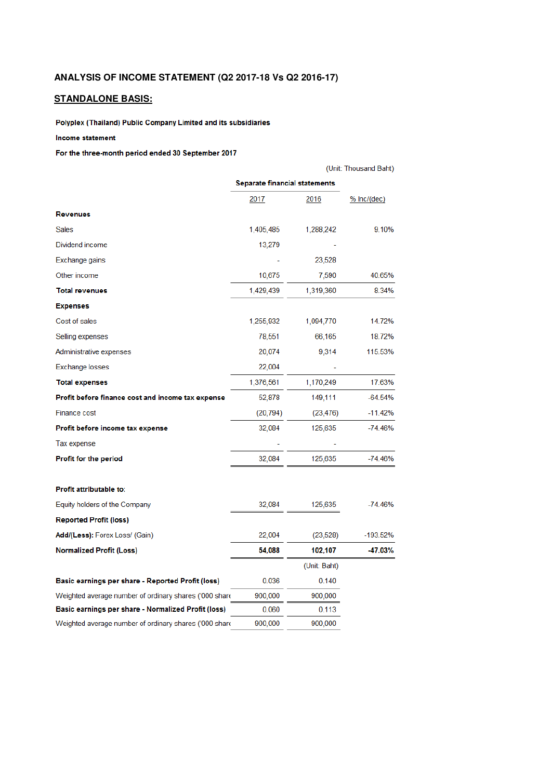# **ANALYSIS OF INCOME STATEMENT (Q2 2017-18 Vs Q2 2016-17)**

# **STANDALONE BASIS:**

Polyplex (Thailand) Public Company Limited and its subsidiaries

#### Income statement

### For the three-month period ended 30 September 2017

|                                                        | (Unit: Thousand Baht)                |              |               |  |
|--------------------------------------------------------|--------------------------------------|--------------|---------------|--|
|                                                        | <b>Separate financial statements</b> |              |               |  |
|                                                        | 2017                                 | 2016         | $%$ lnc/(dec) |  |
| <b>Revenues</b>                                        |                                      |              |               |  |
| <b>Sales</b>                                           | 1,405,485                            | 1,288,242    | 9.10%         |  |
| Dividend income                                        | 13,279                               |              |               |  |
| Exchange gains                                         |                                      | 23,528       |               |  |
| Other income                                           | 10,675                               | 7,590        | 40.65%        |  |
| <b>Total revenues</b>                                  | 1,429,439                            | 1,319,360    | 8.34%         |  |
| <b>Expenses</b>                                        |                                      |              |               |  |
| Cost of sales                                          | 1,255,932                            | 1,094,770    | 14.72%        |  |
| Selling expenses                                       | 78,551                               | 66,165       | 18.72%        |  |
| Administrative expenses                                | 20,074                               | 9,314        | 115.53%       |  |
| Exchange losses                                        | 22,004                               |              |               |  |
| <b>Total expenses</b>                                  | 1,376,561                            | 1,170,249    | 17.63%        |  |
| Profit before finance cost and income tax expense      | 52,878                               | 149,111      | -64.54%       |  |
| <b>Finance cost</b>                                    | (20, 794)                            | (23, 476)    | $-11.42%$     |  |
| Profit before income tax expense                       | 32,084                               | 125,635      | $-74.46%$     |  |
| Tax expense                                            |                                      |              |               |  |
| Profit for the period                                  | 32,084                               | 125,635      | $-74.46%$     |  |
| Profit attributable to:                                |                                      |              |               |  |
| Equity holders of the Company                          | 32,084                               | 125,635      | $-74.46%$     |  |
| <b>Reported Profit (loss)</b>                          |                                      |              |               |  |
| Add/(Less): Forex Loss/ (Gain)                         | 22,004                               | (23, 528)    | -193.52%      |  |
| <b>Normalized Profit (Loss)</b>                        | 54,088                               | 102,107      | $-47.03%$     |  |
|                                                        |                                      | (Unit: Baht) |               |  |
| Basic earnings per share - Reported Profit (loss)      | 0.036                                | 0.140        |               |  |
| Weighted average number of ordinary shares ('000 share | 900,000                              | 900,000      |               |  |
| Basic earnings per share - Normalized Profit (loss)    | 0.060                                | 0.113        |               |  |
| Weighted average number of ordinary shares ('000 share | 900,000                              | 900,000      |               |  |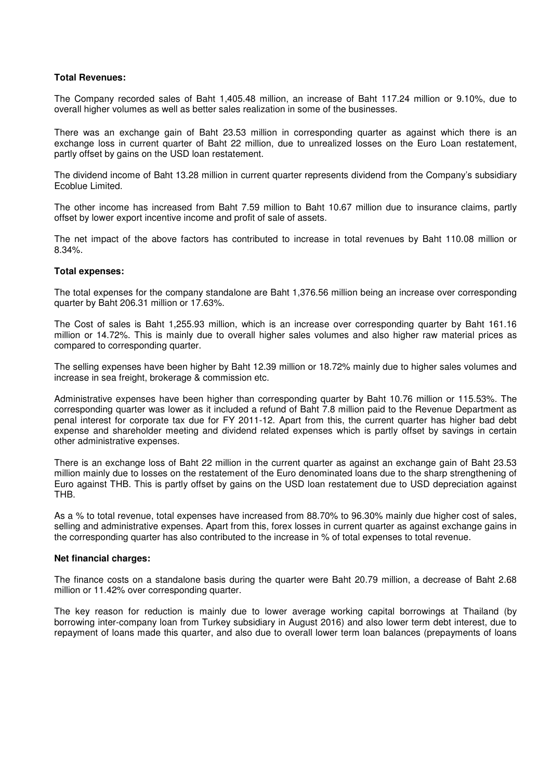## **Total Revenues:**

The Company recorded sales of Baht 1,405.48 million, an increase of Baht 117.24 million or 9.10%, due to overall higher volumes as well as better sales realization in some of the businesses.

There was an exchange gain of Baht 23.53 million in corresponding quarter as against which there is an exchange loss in current quarter of Baht 22 million, due to unrealized losses on the Euro Loan restatement, partly offset by gains on the USD loan restatement.

The dividend income of Baht 13.28 million in current quarter represents dividend from the Company's subsidiary Ecoblue Limited.

The other income has increased from Baht 7.59 million to Baht 10.67 million due to insurance claims, partly offset by lower export incentive income and profit of sale of assets.

The net impact of the above factors has contributed to increase in total revenues by Baht 110.08 million or 8.34%.

### **Total expenses:**

The total expenses for the company standalone are Baht 1,376.56 million being an increase over corresponding quarter by Baht 206.31 million or 17.63%.

The Cost of sales is Baht 1,255.93 million, which is an increase over corresponding quarter by Baht 161.16 million or 14.72%. This is mainly due to overall higher sales volumes and also higher raw material prices as compared to corresponding quarter.

The selling expenses have been higher by Baht 12.39 million or 18.72% mainly due to higher sales volumes and increase in sea freight, brokerage & commission etc.

Administrative expenses have been higher than corresponding quarter by Baht 10.76 million or 115.53%. The corresponding quarter was lower as it included a refund of Baht 7.8 million paid to the Revenue Department as penal interest for corporate tax due for FY 2011-12. Apart from this, the current quarter has higher bad debt expense and shareholder meeting and dividend related expenses which is partly offset by savings in certain other administrative expenses.

There is an exchange loss of Baht 22 million in the current quarter as against an exchange gain of Baht 23.53 million mainly due to losses on the restatement of the Euro denominated loans due to the sharp strengthening of Euro against THB. This is partly offset by gains on the USD loan restatement due to USD depreciation against THB.

As a % to total revenue, total expenses have increased from 88.70% to 96.30% mainly due higher cost of sales, selling and administrative expenses. Apart from this, forex losses in current quarter as against exchange gains in the corresponding quarter has also contributed to the increase in % of total expenses to total revenue.

#### **Net financial charges:**

The finance costs on a standalone basis during the quarter were Baht 20.79 million, a decrease of Baht 2.68 million or 11.42% over corresponding quarter.

The key reason for reduction is mainly due to lower average working capital borrowings at Thailand (by borrowing inter-company loan from Turkey subsidiary in August 2016) and also lower term debt interest, due to repayment of loans made this quarter, and also due to overall lower term loan balances (prepayments of loans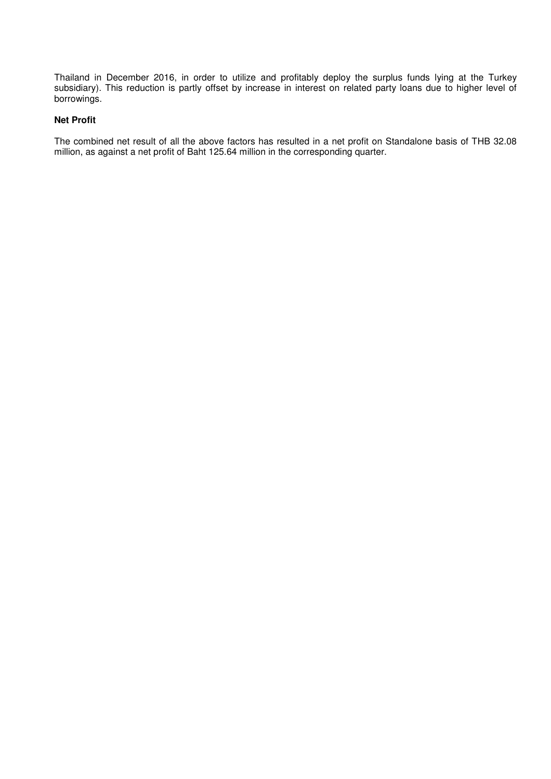Thailand in December 2016, in order to utilize and profitably deploy the surplus funds lying at the Turkey subsidiary). This reduction is partly offset by increase in interest on related party loans due to higher level of borrowings.

# **Net Profit**

The combined net result of all the above factors has resulted in a net profit on Standalone basis of THB 32.08 million, as against a net profit of Baht 125.64 million in the corresponding quarter.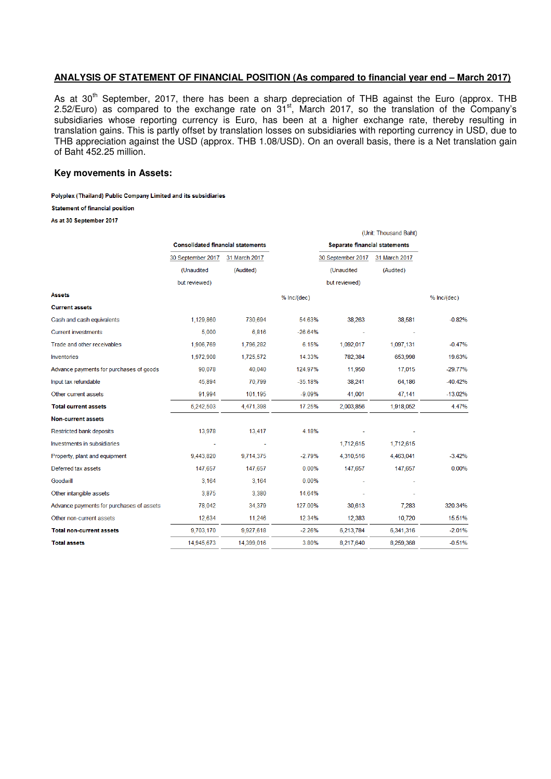# **ANALYSIS OF STATEMENT OF FINANCIAL POSITION (As compared to financial year end – March 2017)**

As at 30<sup>th</sup> September, 2017, there has been a sharp depreciation of THB against the Euro (approx. THB 2.52/Euro) as compared to the exchange rate on  $31<sup>st</sup>$ , March 2017, so the translation of the Company's subsidiaries whose reporting currency is Euro, has been at a higher exchange rate, thereby resulting in translation gains. This is partly offset by translation losses on subsidiaries with reporting currency in USD, due to THB appreciation against the USD (approx. THB 1.08/USD). On an overall basis, there is a Net translation gain of Baht 452.25 million.

### **Key movements in Assets:**

Polyplex (Thailand) Public Company Limited and its subsidiaries

**Statement of financial position** 

As at 30 September 2017

|                                          |                                          |               |               |                   | (Unit: Thousand Baht)                |             |
|------------------------------------------|------------------------------------------|---------------|---------------|-------------------|--------------------------------------|-------------|
|                                          | <b>Consolidated financial statements</b> |               |               |                   | <b>Separate financial statements</b> |             |
|                                          | 30 September 2017                        | 31 March 2017 |               | 30 September 2017 | 31 March 2017                        |             |
|                                          | (Unaudited                               | (Audited)     |               | (Unaudited        | (Audited)                            |             |
|                                          | but reviewed)                            |               |               | but reviewed)     |                                      |             |
| Assets                                   |                                          |               | $%$ Inc/(dec) |                   |                                      | % Inc/(dec) |
| <b>Current assets</b>                    |                                          |               |               |                   |                                      |             |
| Cash and cash equivalents                | 1,129,860                                | 730,694       | 54.63%        | 38,263            | 38,581                               | $-0.82%$    |
| <b>Current investments</b>               | 5,000                                    | 6,816         | $-26.64%$     |                   |                                      |             |
| Trade and other receivables              | 1,906,769                                | 1,796,282     | 6.15%         | 1,092,017         | 1,097,131                            | $-0.47%$    |
| Inventories                              | 1,972,908                                | 1,725,572     | 14.33%        | 782,384           | 653,998                              | 19.63%      |
| Advance payments for purchases of goods  | 90,078                                   | 40,040        | 124.97%       | 11,950            | 17,015                               | $-29.77%$   |
| Input tax refundable                     | 45,894                                   | 70,799        | $-35.18%$     | 38,241            | 64,186                               | $-40.42%$   |
| Other current assets                     | 91,994                                   | 101,195       | $-9.09%$      | 41,001            | 47,141                               | $-13.02%$   |
| <b>Total current assets</b>              | 5,242,503                                | 4,471,398     | 17.25%        | 2,003,856         | 1,918,052                            | 4.47%       |
| <b>Non-current assets</b>                |                                          |               |               |                   |                                      |             |
| Restricted bank deposits                 | 13,978                                   | 13,417        | 4.18%         |                   |                                      |             |
| Investments in subsidiaries              |                                          |               |               | 1,712,615         | 1,712,615                            |             |
| Property, plant and equipment            | 9.443.820                                | 9,714,375     | $-2.79%$      | 4,310,516         | 4.463.041                            | $-3.42%$    |
| Deferred tax assets                      | 147,657                                  | 147,657       | 0.00%         | 147,657           | 147,657                              | 0.00%       |
| Goodwill                                 | 3,164                                    | 3,164         | 0.00%         |                   |                                      |             |
| Other intangible assets                  | 3,875                                    | 3,380         | 14.64%        |                   |                                      |             |
| Advance payments for purchases of assets | 78,042                                   | 34,379        | 127.00%       | 30,613            | 7.283                                | 320.34%     |
| Other non-current assets                 | 12,634                                   | 11,246        | 12.34%        | 12,383            | 10,720                               | 15.51%      |
| Total non-current assets                 | 9,703,170                                | 9,927,618     | $-2.26%$      | 6,213,784         | 6,341,316                            | $-2.01%$    |
| <b>Total assets</b>                      | 14,945,673                               | 14,399,016    | 3.80%         | 8,217,640         | 8,259,368                            | $-0.51%$    |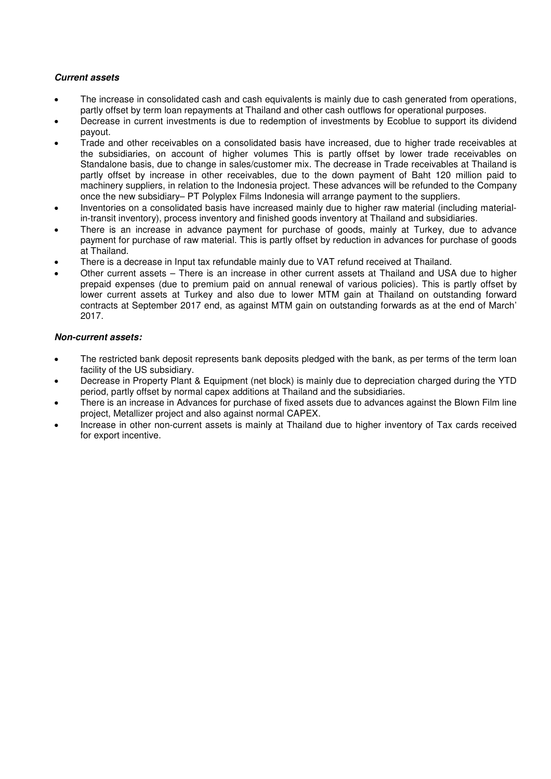# **Current assets**

- The increase in consolidated cash and cash equivalents is mainly due to cash generated from operations, partly offset by term loan repayments at Thailand and other cash outflows for operational purposes.
- Decrease in current investments is due to redemption of investments by Ecoblue to support its dividend payout.
- Trade and other receivables on a consolidated basis have increased, due to higher trade receivables at the subsidiaries, on account of higher volumes This is partly offset by lower trade receivables on Standalone basis, due to change in sales/customer mix. The decrease in Trade receivables at Thailand is partly offset by increase in other receivables, due to the down payment of Baht 120 million paid to machinery suppliers, in relation to the Indonesia project. These advances will be refunded to the Company once the new subsidiary– PT Polyplex Films Indonesia will arrange payment to the suppliers.
- Inventories on a consolidated basis have increased mainly due to higher raw material (including materialin-transit inventory), process inventory and finished goods inventory at Thailand and subsidiaries.
- There is an increase in advance payment for purchase of goods, mainly at Turkey, due to advance payment for purchase of raw material. This is partly offset by reduction in advances for purchase of goods at Thailand.
- There is a decrease in Input tax refundable mainly due to VAT refund received at Thailand.
- Other current assets There is an increase in other current assets at Thailand and USA due to higher prepaid expenses (due to premium paid on annual renewal of various policies). This is partly offset by lower current assets at Turkey and also due to lower MTM gain at Thailand on outstanding forward contracts at September 2017 end, as against MTM gain on outstanding forwards as at the end of March' 2017.

# **Non-current assets:**

- The restricted bank deposit represents bank deposits pledged with the bank, as per terms of the term loan facility of the US subsidiary.
- Decrease in Property Plant & Equipment (net block) is mainly due to depreciation charged during the YTD period, partly offset by normal capex additions at Thailand and the subsidiaries.
- There is an increase in Advances for purchase of fixed assets due to advances against the Blown Film line project, Metallizer project and also against normal CAPEX.
- Increase in other non-current assets is mainly at Thailand due to higher inventory of Tax cards received for export incentive.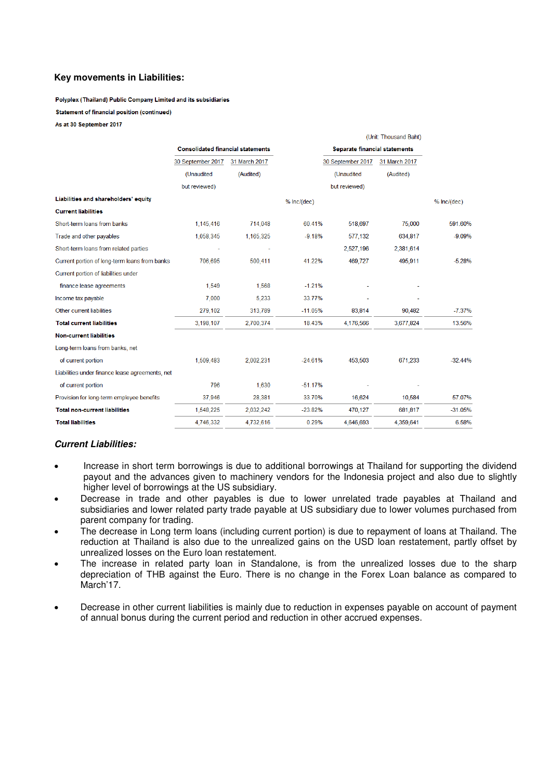## **Key movements in Liabilities:**

Polyplex (Thailand) Public Company Limited and its subsidiaries

**Statement of financial position (continued)** 

As at 30 September 2017

|                                                 |                                          |               |               | (Unit: Thousand Baht)                |               |             |
|-------------------------------------------------|------------------------------------------|---------------|---------------|--------------------------------------|---------------|-------------|
|                                                 | <b>Consolidated financial statements</b> |               |               | <b>Separate financial statements</b> |               |             |
|                                                 | 30 September 2017                        | 31 March 2017 |               | 30 September 2017                    | 31 March 2017 |             |
|                                                 | (Unaudited                               | (Audited)     |               | (Unaudited                           | (Audited)     |             |
|                                                 | but reviewed)                            |               |               | but reviewed)                        |               |             |
| Liabilities and shareholders' equity            |                                          |               | $%$ Inc/(dec) |                                      |               | % Inc/(dec) |
| <b>Current liabilities</b>                      |                                          |               |               |                                      |               |             |
| Short-term loans from banks                     | 1,145,416                                | 714,048       | 60.41%        | 518,697                              | 75,000        | 591.60%     |
| Trade and other payables                        | 1,058,345                                | 1,165,325     | $-9.18%$      | 577,132                              | 634,817       | $-9.09%$    |
| Short-term loans from related parties           |                                          |               |               | 2,527,196                            | 2,381,614     |             |
| Current portion of long-term loans from banks   | 706,695                                  | 500,411       | 41.22%        | 469,727                              | 495,911       | $-5.28%$    |
| Current portion of liabilities under            |                                          |               |               |                                      |               |             |
| finance lease agreements                        | 1,549                                    | 1,568         | $-1.21%$      |                                      |               |             |
| Income tax payable                              | 7,000                                    | 5.233         | 33.77%        |                                      |               |             |
| Other current liabilities                       | 279,102                                  | 313,789       | $-11.05%$     | 83,814                               | 90,482        | $-7.37%$    |
| <b>Total current liabilities</b>                | 3,198,107                                | 2,700,374     | 18.43%        | 4,176,566                            | 3,677,824     | 13.56%      |
| <b>Non-current liabilities</b>                  |                                          |               |               |                                      |               |             |
| Long-term loans from banks, net                 |                                          |               |               |                                      |               |             |
| of current portion                              | 1,509,483                                | 2,002,231     | $-24.61%$     | 453,503                              | 671,233       | $-32.44%$   |
| Liabilities under finance lease agreements, net |                                          |               |               |                                      |               |             |
| of current portion                              | 796                                      | 1,630         | $-51.17%$     |                                      |               |             |
| Provision for long-term employee benefits       | 37,946                                   | 28,381        | 33.70%        | 16,624                               | 10,584        | 57.07%      |
| <b>Total non-current liabilities</b>            | 1,548,225                                | 2,032,242     | $-23.82%$     | 470,127                              | 681,817       | $-31.05%$   |
| <b>Total liabilities</b>                        | 4,746,332                                | 4,732,616     | 0.29%         | 4.646.693                            | 4,359,641     | 6.58%       |

and the main

## **Current Liabilities:**

- Increase in short term borrowings is due to additional borrowings at Thailand for supporting the dividend payout and the advances given to machinery vendors for the Indonesia project and also due to slightly higher level of borrowings at the US subsidiary.
- Decrease in trade and other payables is due to lower unrelated trade payables at Thailand and subsidiaries and lower related party trade payable at US subsidiary due to lower volumes purchased from parent company for trading.
- The decrease in Long term loans (including current portion) is due to repayment of loans at Thailand. The reduction at Thailand is also due to the unrealized gains on the USD loan restatement, partly offset by unrealized losses on the Euro loan restatement.
- The increase in related party loan in Standalone, is from the unrealized losses due to the sharp depreciation of THB against the Euro. There is no change in the Forex Loan balance as compared to March'<sub>17</sub>.
- Decrease in other current liabilities is mainly due to reduction in expenses payable on account of payment of annual bonus during the current period and reduction in other accrued expenses.